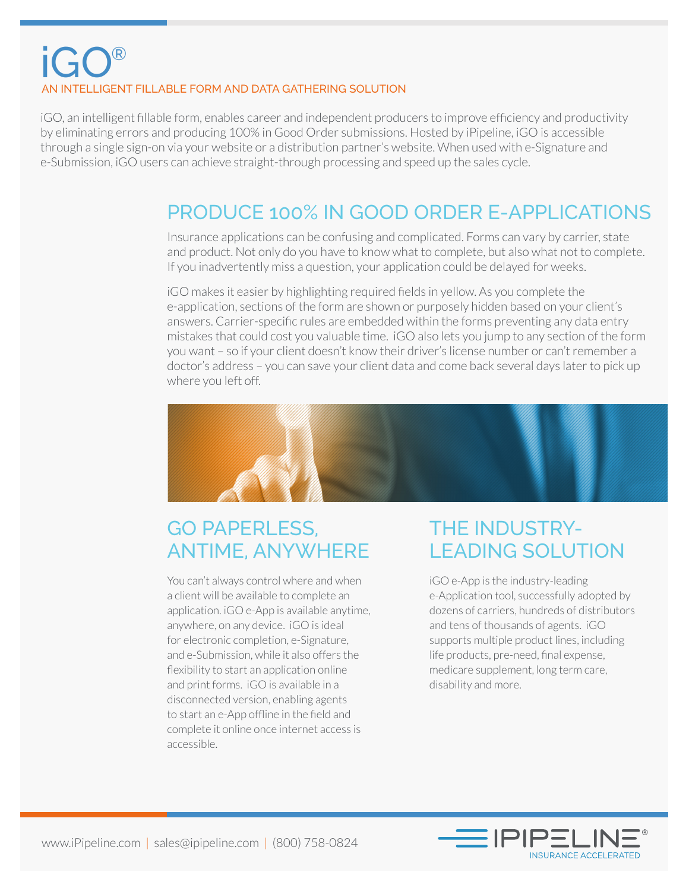# iGO® AN INTELLIGENT FILLABLE FORM AND DATA GATHERING SOLUTION

iGO, an intelligent fillable form, enables career and independent producers to improve efficiency and productivity by eliminating errors and producing 100% in Good Order submissions. Hosted by iPipeline, iGO is accessible through a single sign-on via your website or a distribution partner's website. When used with e-Signature and e-Submission, iGO users can achieve straight-through processing and speed up the sales cycle.

## PRODUCE 100% IN GOOD ORDER E-APPLICATIONS

Insurance applications can be confusing and complicated. Forms can vary by carrier, state and product. Not only do you have to know what to complete, but also what not to complete. If you inadvertently miss a question, your application could be delayed for weeks.

iGO makes it easier by highlighting required fields in yellow. As you complete the e-application, sections of the form are shown or purposely hidden based on your client's answers. Carrier-specific rules are embedded within the forms preventing any data entry mistakes that could cost you valuable time. iGO also lets you jump to any section of the form you want – so if your client doesn't know their driver's license number or can't remember a doctor's address – you can save your client data and come back several days later to pick up where you left off.



## GO PAPERLESS, ANTIME, ANYWHERE

You can't always control where and when a client will be available to complete an application. iGO e-App is available anytime, anywhere, on any device. iGO is ideal for electronic completion, e-Signature, and e-Submission, while it also offers the flexibility to start an application online and print forms. iGO is available in a disconnected version, enabling agents to start an e-App offline in the field and complete it online once internet access is accessible.

# THE INDUSTRY-LEADING SOLUTION

iGO e-App is the industry-leading e-Application tool, successfully adopted by dozens of carriers, hundreds of distributors and tens of thousands of agents. iGO supports multiple product lines, including life products, pre-need, final expense, medicare supplement, long term care, disability and more.